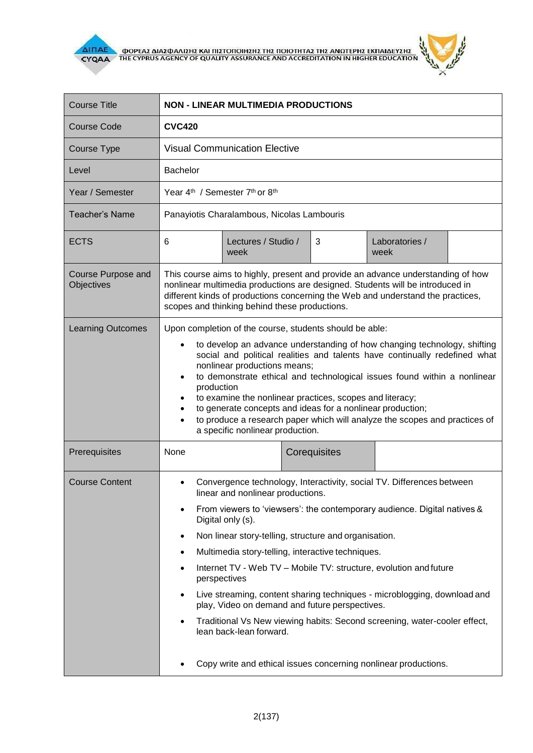



| <b>Course Title</b>              | <b>NON - LINEAR MULTIMEDIA PRODUCTIONS</b>                                                                                                                                                                                                                                                                                                                                                                                                                                                                                                                                                                                                       |
|----------------------------------|--------------------------------------------------------------------------------------------------------------------------------------------------------------------------------------------------------------------------------------------------------------------------------------------------------------------------------------------------------------------------------------------------------------------------------------------------------------------------------------------------------------------------------------------------------------------------------------------------------------------------------------------------|
| <b>Course Code</b>               | <b>CVC420</b>                                                                                                                                                                                                                                                                                                                                                                                                                                                                                                                                                                                                                                    |
| Course Type                      | <b>Visual Communication Elective</b>                                                                                                                                                                                                                                                                                                                                                                                                                                                                                                                                                                                                             |
| Level                            | <b>Bachelor</b>                                                                                                                                                                                                                                                                                                                                                                                                                                                                                                                                                                                                                                  |
| Year / Semester                  | Year 4 <sup>th</sup> / Semester 7 <sup>th</sup> or 8 <sup>th</sup>                                                                                                                                                                                                                                                                                                                                                                                                                                                                                                                                                                               |
| <b>Teacher's Name</b>            | Panayiotis Charalambous, Nicolas Lambouris                                                                                                                                                                                                                                                                                                                                                                                                                                                                                                                                                                                                       |
| <b>ECTS</b>                      | 6<br>Lectures / Studio /<br>3<br>Laboratories /<br>week<br>week                                                                                                                                                                                                                                                                                                                                                                                                                                                                                                                                                                                  |
| Course Purpose and<br>Objectives | This course aims to highly, present and provide an advance understanding of how<br>nonlinear multimedia productions are designed. Students will be introduced in<br>different kinds of productions concerning the Web and understand the practices,<br>scopes and thinking behind these productions.                                                                                                                                                                                                                                                                                                                                             |
| <b>Learning Outcomes</b>         | Upon completion of the course, students should be able:<br>to develop an advance understanding of how changing technology, shifting<br>$\bullet$<br>social and political realities and talents have continually redefined what<br>nonlinear productions means;<br>to demonstrate ethical and technological issues found within a nonlinear<br>$\bullet$<br>production<br>to examine the nonlinear practices, scopes and literacy;<br>$\bullet$<br>to generate concepts and ideas for a nonlinear production;<br>٠<br>to produce a research paper which will analyze the scopes and practices of<br>$\bullet$<br>a specific nonlinear production. |
| Prerequisites                    | None<br>Corequisites                                                                                                                                                                                                                                                                                                                                                                                                                                                                                                                                                                                                                             |
| <b>Course Content</b>            | Convergence technology, Interactivity, social TV. Differences between<br>linear and nonlinear productions.                                                                                                                                                                                                                                                                                                                                                                                                                                                                                                                                       |
|                                  | From viewers to 'viewsers': the contemporary audience. Digital natives &<br>Digital only (s).                                                                                                                                                                                                                                                                                                                                                                                                                                                                                                                                                    |
|                                  | Non linear story-telling, structure and organisation.<br>$\bullet$                                                                                                                                                                                                                                                                                                                                                                                                                                                                                                                                                                               |
|                                  | Multimedia story-telling, interactive techniques.<br>٠                                                                                                                                                                                                                                                                                                                                                                                                                                                                                                                                                                                           |
|                                  | Internet TV - Web TV - Mobile TV: structure, evolution and future<br>perspectives                                                                                                                                                                                                                                                                                                                                                                                                                                                                                                                                                                |
|                                  | Live streaming, content sharing techniques - microblogging, download and<br>play, Video on demand and future perspectives.                                                                                                                                                                                                                                                                                                                                                                                                                                                                                                                       |
|                                  | Traditional Vs New viewing habits: Second screening, water-cooler effect,<br>lean back-lean forward.                                                                                                                                                                                                                                                                                                                                                                                                                                                                                                                                             |
|                                  | Copy write and ethical issues concerning nonlinear productions.                                                                                                                                                                                                                                                                                                                                                                                                                                                                                                                                                                                  |